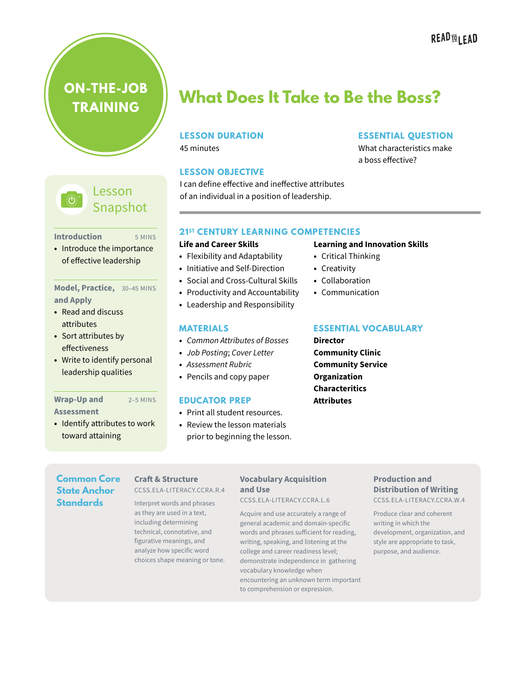# **READ<sub>16</sub>** LEAD

**ON-THE-JOB TRAINING**



5 MINS

#### **Introduction**

**•** Introduce the importance of effective leadership

#### **Model, Practice,** 30–45 MINS **and Apply**

- **•** Read and discuss attributes
- **•** Sort attributes by effectiveness
- **•** Write to identify personal leadership qualities

#### **Wrap-Up and**

#### **Assessment**

**•** Identify attributes to work toward attaining

# **What Does It Take to Be the Boss?**

#### **LESSON DURATION**

45 minutes

#### **LESSON OBJECTIVE**

I can define effective and ineffective attributes of an individual in a position of leadership.

#### **ESSENTIAL QUESTION**

What characteristics make a boss effective?

#### **21ST CENTURY LEARNING COMPETENCIES**

#### **Life and Career Skills**

- **•** Flexibility and Adaptability
- **•** Initiative and Self-Direction
- **•** Social and Cross-Cultural Skills
- **•** Productivity and Accountability
- **•** Leadership and Responsibility

# **MATERIALS**

- **•** *Common Attributes of Bosses*
- **•** *Job Posting*; *Cover Letter*
- **•** *Assessment Rubric*
- **•** Pencils and copy paper

#### 2–5 MINS **EDUCATOR PREP**

- **•** Print all student resources.
- **•** Review the lesson materials prior to beginning the lesson.

#### **Learning and Innovation Skills**

- **•** Critical Thinking
- **•** Creativity
- **•** Collaboration
- **•** Communication

#### **ESSENTIAL VOCABULARY**

**Director Community Clinic Community Service Organization Characteritics Attributes**

**Common Core State Anchor Standards**

#### **Craft & Structure** CCSS.ELA-LITERACY.CCRA.R.4

Interpret words and phrases as they are used in a text, including determining technical, connotative, and figurative meanings, and analyze how specific word choices shape meaning or tone.

#### **Vocabulary Acquisition and Use**

CCSS.ELA-LITERACY.CCRA.L.6

Acquire and use accurately a range of general academic and domain-specific words and phrases sufficient for reading, writing, speaking, and listening at the college and career readiness level; demonstrate independence in gathering vocabulary knowledge when encountering an unknown term important to comprehension or expression.

### **Production and Distribution of Writing**

CCSS.ELA-LITERACY.CCRA.W.4

Produce clear and coherent writing in which the development, organization, and style are appropriate to task, purpose, and audience.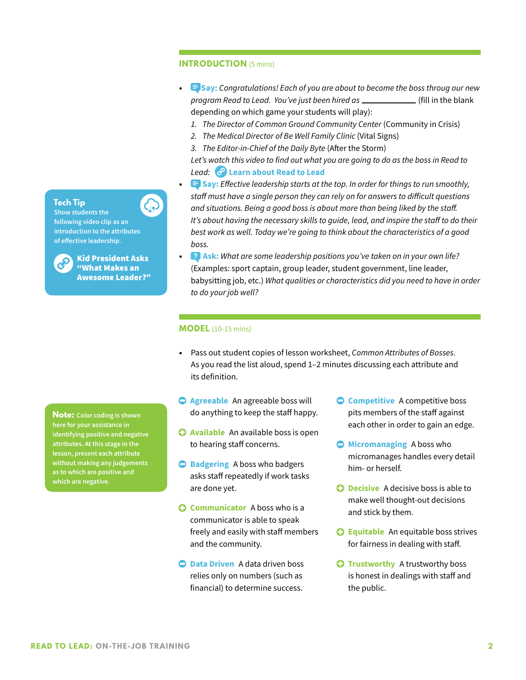#### **INTRODUCTION** (5 mins)

- **• Say:** *Congratulations! Each of you are about to become the boss throug our new program Read to Lead. You've just been hired as* (fill in the blank depending on which game your students will play):
	- *1. The Director of Common Ground Community Center* (Community in Crisis)
	- *2. The Medical Director of Be Well Family Clinic* (Vital Signs)
	- *3. The Editor-in-Chief of the Daily Byte* (After the Storm)

*Let's watch this video to find out what you are going to do as the boss in Read to Lead:* **[Learn about Read to Lead](https://youtu.be/pGH2IxcrTYU)**

- **• Say:** *Effective leadership starts at the top. In order for things to run smoothly, staff must have a single person they can rely on for answers to difficult questions and situations. Being a good boss is about more than being liked by the staff. It's about having the necessary skills to guide, lead, and inspire the staff to do their best work as well. Today we're going to think about the characteristics of a good boss.*
- **• Ask:** *What are some leadership positions you've taken on in your own life?* (Examples: sport captain, group leader, student government, line leader, babysitting job, etc.) *What qualities or characteristics did you need to have in order to do your job well?*

#### **MODEL** (10-15 mins)

- **•** Pass out student copies of lesson worksheet, *Common Attributes of Bosses*. As you read the list aloud, spend 1–2 minutes discussing each attribute and its definition.
- **Agreeable** An agreeable boss will do anything to keep the staff happy.
- **Available** An available boss is open to hearing staff concerns.
- **Badgering** A boss who badgers asks staff repeatedly if work tasks are done yet.
- **C** Communicator A boss who is a communicator is able to speak freely and easily with staff members and the community.
- **Data Driven** A data driven boss relies only on numbers (such as financial) to determine success.
- **C** Competitive A competitive boss pits members of the staff against each other in order to gain an edge.
- **Micromanaging** A boss who micromanages handles every detail him- or herself.
- **C Decisive** A decisive boss is able to make well thought-out decisions and stick by them.
- **Equitable** An equitable boss strives for fairness in dealing with staff.
- **C** Trustworthy A trustworthy boss is honest in dealings with staff and the public.

**Note: Color coding is shown here for your assistance in identifying positive and negative attributes. At this stage in the lesson, present each attribute without making any judgements as to which are positive and which are negative.** 



**Show students the following video clip as an introduction to the attributes of effective leadership.**



**Tech Tip** 

Kid President Asks "What Makes an Awesome Leader?"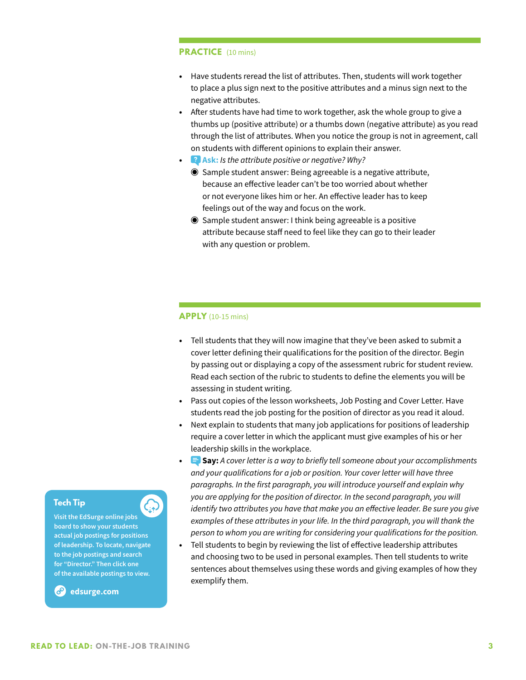#### **PRACTICE** (10 mins)

- **•** Have students reread the list of attributes. Then, students will work together to place a plus sign next to the positive attributes and a minus sign next to the negative attributes.
- **•** After students have had time to work together, ask the whole group to give a thumbs up (positive attribute) or a thumbs down (negative attribute) as you read through the list of attributes. When you notice the group is not in agreement, call on students with different opinions to explain their answer.
- **Ask:** *Is the attribute positive or negative? Why?* 
	- ◉ Sample student answer: Being agreeable is a negative attribute, because an effective leader can't be too worried about whether or not everyone likes him or her. An effective leader has to keep feelings out of the way and focus on the work.
	- ◉ Sample student answer: I think being agreeable is a positive attribute because staff need to feel like they can go to their leader with any question or problem.

#### **APPLY** (10-15 mins)

- **•** Tell students that they will now imagine that they've been asked to submit a cover letter defining their qualifications for the position of the director. Begin by passing out or displaying a copy of the assessment rubric for student review. Read each section of the rubric to students to define the elements you will be assessing in student writing.
- **•** Pass out copies of the lesson worksheets, Job Posting and Cover Letter. Have students read the job posting for the position of director as you read it aloud.
- **•** Next explain to students that many job applications for positions of leadership require a cover letter in which the applicant must give examples of his or her leadership skills in the workplace.
- **• Say:** *A cover letter is a way to briefly tell someone about your accomplishments and your qualifications for a job or position. Your cover letter will have three paragraphs. In the first paragraph, you will introduce yourself and explain why you are applying for the position of director. In the second paragraph, you will identify two attributes you have that make you an effective leader. Be sure you give examples of these attributes in your life. In the third paragraph, you will thank the person to whom you are writing for considering your qualifications for the position.*
- **•** Tell students to begin by reviewing the list of effective leadership attributes and choosing two to be used in personal examples. Then tell students to write sentences about themselves using these words and giving examples of how they exemplify them.

#### **Tech Tip**

**Visit the EdSurge online jobs board to show your students actual job postings for positions of leadership. To locate, navigate to the job postings and search for "Director." Then click one of the available postings to view.** 

**edsurge.com**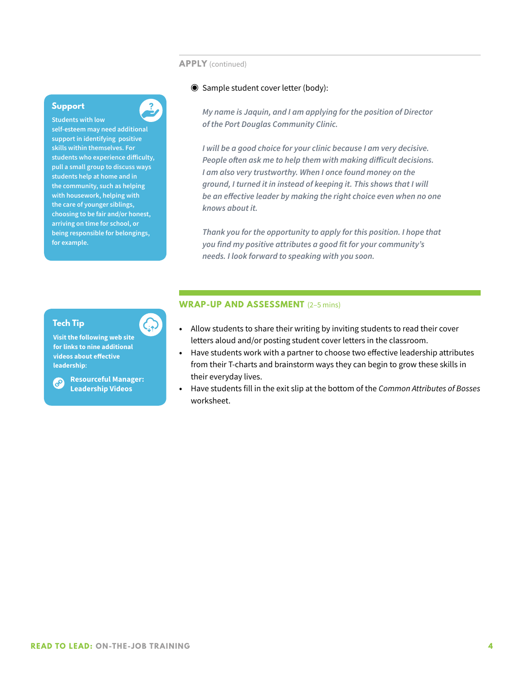#### **APPLY** (continued)

#### ◉ Sample student cover letter (body):

*My name is Jaquin, and I am applying for the position of Director of the Port Douglas Community Clinic.* 

*I will be a good choice for your clinic because I am very decisive. People often ask me to help them with making difficult decisions. I am also very trustworthy. When I once found money on the ground, I turned it in instead of keeping it. This shows that I will be an effective leader by making the right choice even when no one knows about it.*

*Thank you for the opportunity to apply for this position. I hope that you find my positive attributes a good fit for your community's needs. I look forward to speaking with you soon.*

#### **Tech Tip**

**for example.** 

**Support Students with low** 

**self-esteem may need additional support in identifying positive skills within themselves. For students who experience difficulty, pull a small group to discuss ways students help at home and in the community, such as helping with housework, helping with the care of younger siblings, choosing to be fair and/or honest, arriving on time for school, or being responsible for belongings,** 

 $\overline{\mathbf{?}}$ 

**Visit the following web site for links to nine additional videos about effective leadership:**

**Resourceful Manager:**  ව **Leadership Videos**

#### **WRAP-UP AND ASSESSMENT** (2–5 mins)

- **•** Allow students to share their writing by inviting students to read their cover letters aloud and/or posting student cover letters in the classroom.
- **•** Have students work with a partner to choose two effective leadership attributes from their T-charts and brainstorm ways they can begin to grow these skills in their everyday lives.
- **•** Have students fill in the exit slip at the bottom of the *Common Attributes of Bosses* worksheet.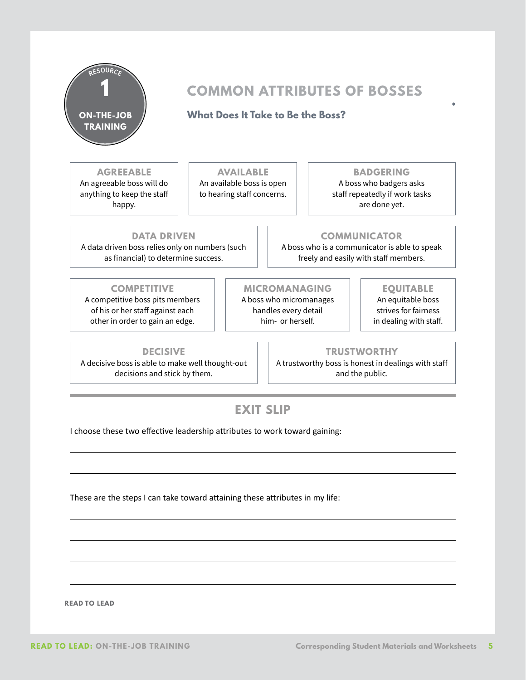

# **COMMON ATTRIBUTES OF BOSSES**

## **What Does It Take to Be the Boss?**

### **AGREEABLE**

An agreeable boss will do anything to keep the staff happy.

### **AVAILABLE** An available boss is open to hearing staff concerns.

**BADGERING**

A boss who badgers asks staff repeatedly if work tasks are done yet.

**DATA DRIVEN** A data driven boss relies only on numbers (such as financial) to determine success.

### **COMMUNICATOR**

A boss who is a communicator is able to speak freely and easily with staff members.

#### **COMPETITIVE**

A competitive boss pits members of his or her staff against each other in order to gain an edge.

#### **MICROMANAGING**

A boss who micromanages handles every detail him- or herself.

### **EQUITABLE**

An equitable boss strives for fairness in dealing with staff.

**DECISIVE**

A decisive boss is able to make well thought-out decisions and stick by them.

**TRUSTWORTHY** A trustworthy boss is honest in dealings with staff and the public.

# **EXIT SLIP**

I choose these two effective leadership attributes to work toward gaining:

These are the steps I can take toward attaining these attributes in my life:

 **READ TO LEAD**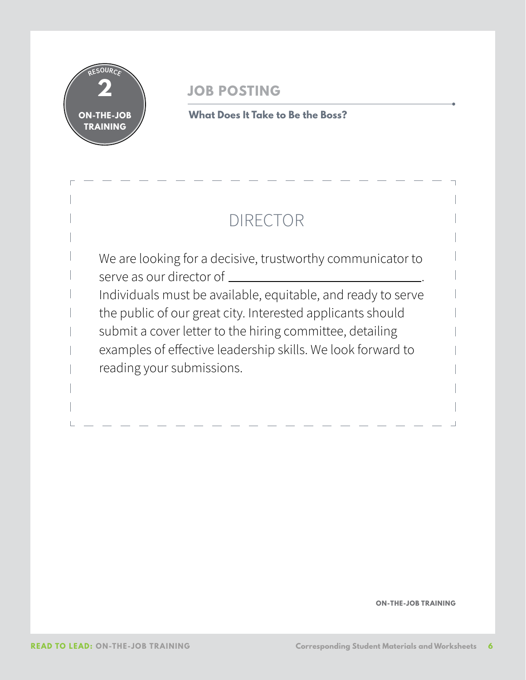

# **JOB POSTING**

**What Does It Take to Be the Boss?**

# DIRECTOR

We are looking for a decisive, trustworthy communicator to serve as our director of  $\qquad \qquad$ Individuals must be available, equitable, and ready to serve the public of our great city. Interested applicants should submit a cover letter to the hiring committee, detailing examples of effective leadership skills. We look forward to reading your submissions.

**ON-THE-JOB TRAINING**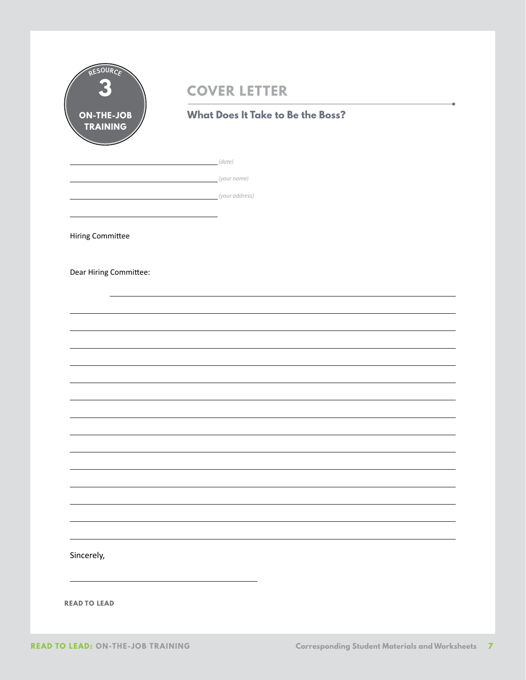|                                      | <b>COVER LETTER</b>                      |  |  |  |  |
|--------------------------------------|------------------------------------------|--|--|--|--|
| <b>ON-THE-JOB</b><br><b>TRAINING</b> | <b>What Does It Take to Be the Boss?</b> |  |  |  |  |
|                                      | <u>(date)</u>                            |  |  |  |  |
|                                      | (your name)                              |  |  |  |  |
|                                      |                                          |  |  |  |  |
|                                      |                                          |  |  |  |  |
| <b>Hiring Committee</b>              |                                          |  |  |  |  |
| Dear Hiring Committee:               |                                          |  |  |  |  |
|                                      |                                          |  |  |  |  |
|                                      |                                          |  |  |  |  |
|                                      |                                          |  |  |  |  |
|                                      |                                          |  |  |  |  |
|                                      |                                          |  |  |  |  |
|                                      |                                          |  |  |  |  |
|                                      |                                          |  |  |  |  |
|                                      |                                          |  |  |  |  |
|                                      |                                          |  |  |  |  |
|                                      |                                          |  |  |  |  |
|                                      |                                          |  |  |  |  |
|                                      |                                          |  |  |  |  |
|                                      |                                          |  |  |  |  |
| Sincerely,                           |                                          |  |  |  |  |
|                                      |                                          |  |  |  |  |